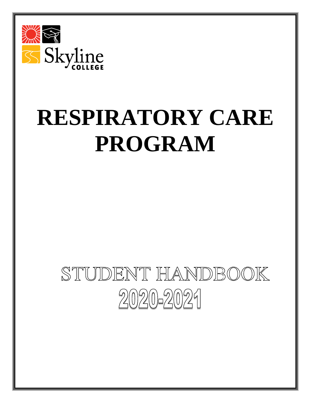

# **RESPIRATORY CARE PROGRAM**

# STUDENT HANDBOOK  $2020 - 2021$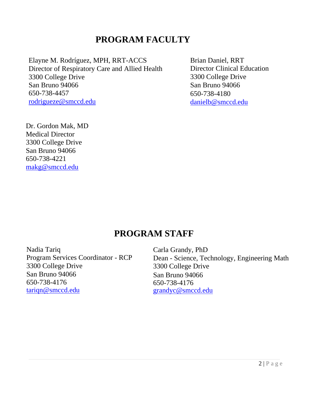# **PROGRAM FACULTY**

Elayne M. Rodríguez, MPH, RRT-ACCS Director of Respiratory Care and Allied Health 3300 College Drive San Bruno 94066 650-738-4457 [rodrigueze@smccd.edu](mailto:rodrigueze@smccd.edu)

Brian Daniel, RRT Director Clinical Education 3300 College Drive San Bruno 94066 650-738-4180 [danielb@smccd.edu](mailto:danielb@smccd.edu)

Dr. Gordon Mak, MD Medical Director 3300 College Drive San Bruno 94066 650-738-4221 [makg@smccd.edu](mailto:makg@smccd.edu)

# **PROGRAM STAFF**

Nadia Tariq Program Services Coordinator - RCP 3300 College Drive San Bruno 94066 650-738-4176 [tariqn@smccd.edu](mailto:tariqn@smccd.edu)

Carla Grandy, PhD Dean - Science, Technology, Engineering Math 3300 College Drive San Bruno 94066 650-738-4176 [grandyc@smccd.edu](file:///D:/Nadia)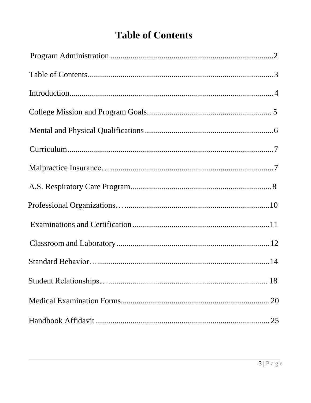# **Table of Contents**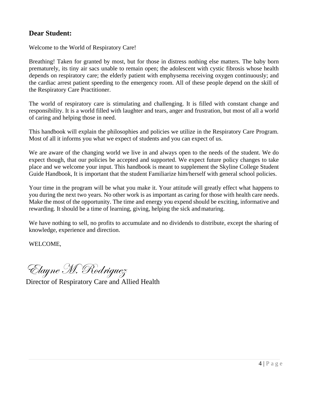#### **Dear Student:**

Welcome to the World of Respiratory Care!

Breathing! Taken for granted by most, but for those in distress nothing else matters. The baby born prematurely, its tiny air sacs unable to remain open; the adolescent with cystic fibrosis whose health depends on respiratory care; the elderly patient with emphysema receiving oxygen continuously; and the cardiac arrest patient speeding to the emergency room. All of these people depend on the skill of the Respiratory Care Practitioner.

The world of respiratory care is stimulating and challenging. It is filled with constant change and responsibility. It is a world filled with laughter and tears, anger and frustration, but most of all a world of caring and helping those in need.

This handbook will explain the philosophies and policies we utilize in the Respiratory Care Program. Most of all it informs you what we expect of students and you can expect of us.

We are aware of the changing world we live in and always open to the needs of the student. We do expect though, that our policies be accepted and supported. We expect future policy changes to take place and we welcome your input. This handbook is meant to supplement the Skyline College Student Guide Handbook, It is important that the student Familiarize him/herself with general school policies.

Your time in the program will be what you make it. Your attitude will greatly effect what happens to you during the next two years. No other work is as important as caring for those with health care needs. Make the most of the opportunity. The time and energy you expend should be exciting, informative and rewarding. It should be a time of learning, giving, helping the sick andmaturing.

We have nothing to sell, no profits to accumulate and no dividends to distribute, except the sharing of knowledge, experience and direction.

WELCOME,

Elayne M. Rodriguez

Director of Respiratory Care and Allied Health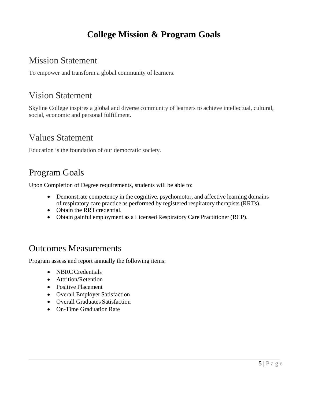# **College Mission & Program Goals**

# Mission Statement

To empower and transform a global community of learners.

# Vision Statement

Skyline College inspires a global and diverse community of learners to achieve intellectual, cultural, social, economic and personal fulfillment.

# Values Statement

Education is the foundation of our democratic society.

# Program Goals

Upon Completion of Degree requirements, students will be able to:

- Demonstrate competency in the cognitive, psychomotor, and affective learning domains of respiratory care practice as performed by registered respiratory therapists (RRTs).
- Obtain the RRT credential.
- Obtain gainful employment as a Licensed Respiratory Care Practitioner (RCP).

## Outcomes Measurements

Program assess and report annually the following items:

- NBRC Credentials
- **•** Attrition/Retention
- Positive Placement
- Overall Employer Satisfaction
- Overall Graduates Satisfaction
- On-Time Graduation Rate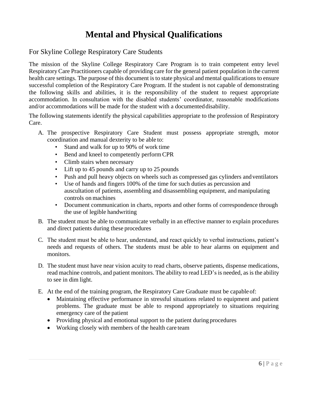# **Mental and Physical Qualifications**

#### For Skyline College Respiratory Care Students

The mission of the Skyline College Respiratory Care Program is to train competent entry level RespiratoryCare Practitioners capable of providing care for the general patient population in the current health care settings. The purpose of this document is to state physical and mental qualifications to ensure successful completion of the Respiratory Care Program. If the student is not capable of demonstrating the following skills and abilities, it is the responsibility of the student to request appropriate accommodation. In consultation with the disabled students' coordinator, reasonable modifications and/or accommodations will be made for the student with a documented disability.

The following statements identify the physical capabilities appropriate to the profession of Respiratory Care.

- A. The prospective Respiratory Care Student must possess appropriate strength, motor coordination and manual dexterity to be able to:
	- Stand and walk for up to 90% of work time
	- Bend and kneel to competently perform CPR
	- Climb stairs when necessary
	- Lift up to 45 pounds and carry up to 25 pounds
	- Push and pull heavy objects on wheels such as compressed gas cylinders andventilators
	- Use of hands and fingers 100% of the time for such duties as percussion and auscultation of patients, assembling and disassembling equipment, and manipulating controls on machines
	- Document communication in charts, reports and other forms of correspondence through the use of legible handwriting
- B. The student must be able to communicate verbally in an effective manner to explain procedures and direct patients during these procedures
- C. The student must be able to hear, understand, and react quickly to verbal instructions, patient's needs and requests of others. The students must be able to hear alarms on equipment and monitors.
- D. The student must have near vision acuity to read charts, observe patients, dispense medications, read machine controls, and patient monitors. The ability to read LED's is needed, as is the ability to see in dim light.
- E. At the end of the training program, the Respiratory Care Graduate must be capable of:
	- Maintaining effective performance in stressful situations related to equipment and patient problems. The graduate must be able to respond appropriately to situations requiring emergency care of the patient
	- Providing physical and emotional support to the patient during procedures
	- Working closely with members of the health care team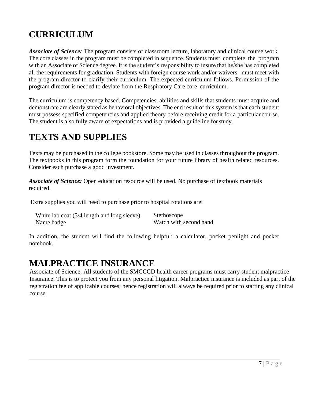# **CURRICULUM**

*Associate of Science:* The program consists of classroom lecture, laboratory and clinical course work. The core classes in the program must be completed in sequence. Students must complete the program with an Associate of Science degree. It is the student's responsibility to insure that he/she has completed all the requirements for graduation. Students with foreign course work and/or waivers must meet with the program director to clarify their curriculum. The expected curriculum follows. Permission of the program director is needed to deviate from the Respiratory Care core curriculum.

The curriculum is competency based. Competencies, abilities and skills that students must acquire and demonstrate are clearly stated as behavioral objectives. The end result of this system is that each student must possess specified competencies and applied theory before receiving credit for a particular course. The student is also fully aware of expectations and is provided a guideline forstudy.

# **TEXTS AND SUPPLIES**

Texts may be purchased in the college bookstore. Some may be used in classes throughout the program. The textbooks in this program form the foundation for your future library of health related resources. Consider each purchase a good investment.

*Associate of Science:* Open education resource will be used. No purchase of textbook materials required.

Extra supplies you will need to purchase prior to hospital rotations are:

| White lab coat (3/4 length and long sleeve) | Stethoscope            |
|---------------------------------------------|------------------------|
| Name badge                                  | Watch with second hand |

In addition, the student will find the following helpful: a calculator, pocket penlight and pocket notebook.

## **MALPRACTICE INSURANCE**

Associate of Science: All students of the SMCCCD health career programs must carry student malpractice Insurance. This is to protect you from any personal litigation. Malpractice insurance is included as part of the registration fee of applicable courses; hence registration will always be required prior to starting any clinical course.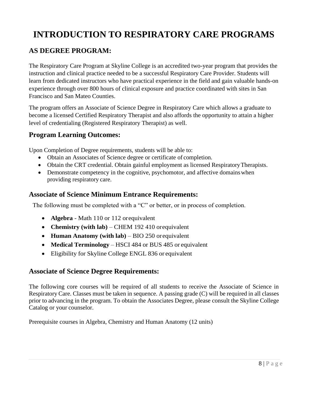# **INTRODUCTION TO RESPIRATORY CARE PROGRAMS**

#### **AS DEGREE PROGRAM:**

The Respiratory Care Program at Skyline College is an accredited two-year program that provides the instruction and clinical practice needed to be a successful Respiratory Care Provider. Students will learn from dedicated instructors who have practical experience in the field and gain valuable hands-on experience through over 800 hours of clinical exposure and practice coordinated with sites in San Francisco and San Mateo Counties.

The program offers an Associate of Science Degree in Respiratory Care which allows a graduate to become a licensed Certified Respiratory Therapist and also affords the opportunity to attain a higher level of credentialing (Registered Respiratory Therapist) as well.

#### **Program Learning Outcomes:**

Upon Completion of Degree requirements, students will be able to:

- Obtain an Associates of Science degree or certificate of completion.
- Obtain the CRT credential. Obtain gainful employment as licensed RespiratoryTherapists.
- Demonstrate competency in the cognitive, psychomotor, and affective domainswhen providing respiratory care.

#### **Associate of Science Minimum Entrance Requirements:**

The following must be completed with a "C" or better, or in process of completion.

- **Algebra**  Math 110 or 112 orequivalent
- **Chemistry (with lab)** CHEM 192 410 orequivalent
- **Human Anatomy (with lab)** BIO 250 orequivalent
- **Medical Terminology** HSCI 484 or BUS 485 or equivalent
- Eligibility for Skyline College ENGL 836 or equivalent

#### **Associate of Science Degree Requirements:**

The following core courses will be required of all students to receive the Associate of Science in Respiratory Care. Classes must be taken in sequence. A passing grade (C) will be required in all classes prior to advancing in the program. To obtain the Associates Degree, please consult the Skyline College Catalog or your counselor.

Prerequisite courses in Algebra, Chemistry and Human Anatomy (12 units)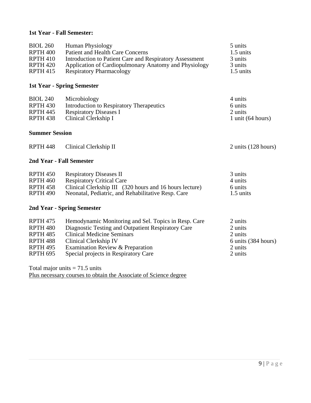#### **1st Year - Fall Semester:**

| <b>BIOL 260</b>       | <b>Human Physiology</b>                                 | 5 units             |
|-----------------------|---------------------------------------------------------|---------------------|
| RPTH <sub>400</sub>   | <b>Patient and Health Care Concerns</b>                 | 1.5 units           |
| <b>RPTH 410</b>       | Introduction to Patient Care and Respiratory Assessment | 3 units             |
| <b>RPTH 420</b>       | Application of Cardiopulmonary Anatomy and Physiology   | 3 units             |
| <b>RPTH 415</b>       | <b>Respiratory Pharmacology</b>                         | 1.5 units           |
|                       |                                                         |                     |
|                       | <b>1st Year - Spring Semester</b>                       |                     |
| <b>BIOL 240</b>       | Microbiology                                            | 4 units             |
| RPTH <sub>430</sub>   | Introduction to Respiratory Therapeutics                | 6 units             |
| <b>RPTH 445</b>       | <b>Respiratory Diseases I</b>                           | 2 units             |
| RPTH <sub>438</sub>   | Clinical Clerkship I                                    | 1 unit $(64 hours)$ |
| <b>Summer Session</b> |                                                         |                     |
| <b>RPTH 448</b>       | Clinical Clerkship II                                   | 2 units (128 hours) |
|                       | 2nd Year - Fall Semester                                |                     |
| <b>RPTH 450</b>       | <b>Respiratory Diseases II</b>                          | 3 units             |
| <b>RPTH 460</b>       | <b>Respiratory Critical Care</b>                        | 4 units             |
| <b>RPTH 458</b>       | Clinical Clerkship III (320 hours and 16 hours lecture) | 6 units             |
| <b>RPTH 490</b>       | Neonatal, Pediatric, and Rehabilitative Resp. Care      | 1.5 units           |
|                       | 2nd Year - Spring Semester                              |                     |
| <b>RPTH 475</b>       | Hemodynamic Monitoring and Sel. Topics in Resp. Care    | 2 units             |
| RPTH <sub>480</sub>   | Diagnostic Testing and Outpatient Respiratory Care      | 2 units             |
| <b>RPTH 485</b>       | <b>Clinical Medicine Seminars</b>                       | 2 units             |
| <b>RPTH 488</b>       | <b>Clinical Clerkship IV</b>                            | 6 units (384 hours) |
| <b>RPTH 495</b>       | Examination Review & Preparation                        | 2 units             |
| RPTH <sub>695</sub>   | Special projects in Respiratory Care                    | 2 units             |
|                       | Total major units $-71.5$ units                         |                     |

Total major units  $= 71.5$  units Plus necessary courses to obtain the Associate of Science degree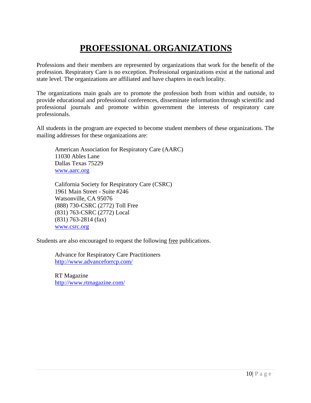# **PROFESSIONAL ORGANIZATIONS**

Professions and their members are represented by organizations that work for the benefit of the profession. Respiratory Care is no exception. Professional organizations exist at the national and state level. The organizations are affiliated and have chapters in each locality.

The organizations main goals are to promote the profession both from within and outside, to provide educational and professional conferences, disseminate information through scientific and professional journals and promote within government the interests of respiratory care professionals.

All students in the program are expected to become student members of these organizations. The mailing addresses for these organizations are:

American Association for Respiratory Care (AARC) 11030 Ables Lane Dallas Texas 75229 [www.aarc.org](http://www.aarc.org/)

California Society for Respiratory Care (CSRC) 1961 Main Street - Suite #246 Watsonville, CA 95076 (888) 730-CSRC (2772) Toll Free (831) 763-CSRC (2772) Local (831) 763-2814 (fax) [www.csrc.org](http://www.csrc.org/)

Students are also encouraged to request the following free publications.

Advance for Respiratory Care Practitioners <http://www.advanceforrcp.com/>

RT Magazine <http://www.rtmagazine.com/>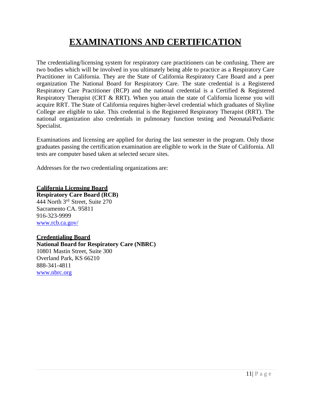# **EXAMINATIONS AND CERTIFICATION**

The credentialing/licensing system for respiratory care practitioners can be confusing. There are two bodies which will be involved in you ultimately being able to practice as a Respiratory Care Practitioner in California. They are the State of California Respiratory Care Board and a peer organization The National Board for Respiratory Care. The state credential is a Registered Respiratory Care Practitioner (RCP) and the national credential is a Certified & Registered Respiratory Therapist (CRT & RRT). When you attain the state of California license you will acquire RRT. The State of California requires higher-level credential which graduates of Skyline College are eligible to take. This credential is the Registered Respiratory Therapist (RRT). The national organization also credentials in pulmonary function testing and Neonatal/Pediatric Specialist.

Examinations and licensing are applied for during the last semester in the program. Only those graduates passing the certification examination are eligible to work in the State of California. All tests are computer based taken at selected secure sites.

Addresses for the two credentialing organizations are:

**California Licensing Board Respiratory Care Board (RCB)**  444 North 3rd Street, Suite 270 Sacramento CA. 95811 916-323-9999 [www.rcb.ca.gov/](http://www.rcb.ca.gov/)

#### **Credentialing Board**

**National Board for Respiratory Care (NBRC)** 10801 Mastin Street, Suite 300 Overland Park, KS 66210 888-341-4811 [www.nbrc.org](http://www.nbrc.org/)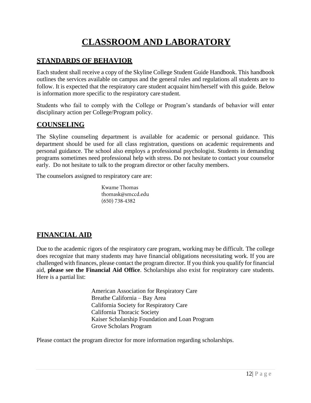# **CLASSROOM AND LABORATORY**

## **STANDARDS OF BEHAVIOR**

Each student shall receive a copy of the Skyline College Student Guide Handbook. This handbook outlines the services available on campus and the general rules and regulations all students are to follow. It is expected that the respiratory care student acquaint him/herself with this guide. Below is information more specific to the respiratory care student.

Students who fail to comply with the College or Program's standards of behavior will enter disciplinary action per College/Program policy.

#### **COUNSELING**

The Skyline counseling department is available for academic or personal guidance. This department should be used for all class registration, questions on academic requirements and personal guidance. The school also employs a professional psychologist. Students in demanding programs sometimes need professional help with stress. Do not hesitate to contact your counselor early. Do not hesitate to talk to the program director or other faculty members.

The counselors assigned to respiratory care are:

Kwame Thomas thomask@smccd.edu  $(650)$  738-4382

## **FINANCIAL AID**

Due to the academic rigors of the respiratory care program, working may be difficult. The college does recognize that many students may have financial obligations necessitating work. If you are challenged with finances, please contact the program director. If you think you qualify for financial aid, **please see the Financial Aid Office**. Scholarships also exist for respiratory care students. Here is a partial list:

> American Association for Respiratory Care Breathe California – Bay Area California Society for Respiratory Care California Thoracic Society Kaiser Scholarship Foundation and Loan Program Grove Scholars Program

Please contact the program director for more information regarding scholarships.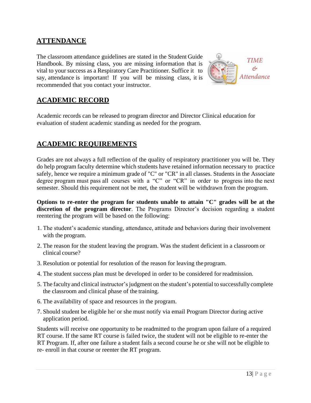#### **ATTENDANCE**

The classroom attendance guidelines are stated in the Student Guide Handbook. By missing class, you are missing information that is vital to your success as a Respiratory Care Practitioner. Suffice it to say, attendance is important! If you will be missing class, it is recommended that you contact your instructor.



### **ACADEMIC RECORD**

Academic records can be released to program director and Director Clinical education for evaluation of student academic standing as needed for the program.

#### **ACADEMIC REQUIREMENTS**

Grades are not always a full reflection of the quality of respiratory practitioner you will be. They do help program faculty determine which students have retained information necessary to practice safely, hence we require a minimum grade of "C" or "CR" in all classes. Students in the Associate degree program must pass all courses with a "C" or "CR" in order to progress into the next semester. Should this requirement not be met, the student will be withdrawn from the program.

**Options to re-enter the program for students unable to attain "C" grades will be at the discretion of the program director**. The Programs Director's decision regarding a student reentering the program will be based on the following:

- 1. The student's academic standing, attendance, attitude and behaviors during their involvement with the program.
- 2. The reason for the student leaving the program. Was the student deficient in a classroom or clinical course?
- 3. Resolution or potential for resolution of the reason for leaving the program.
- 4. The student success plan must be developed in order to be considered for readmission.
- 5. The faculty and clinical instructor's judgment on the student's potential to successfully complete the classroom and clinical phase of the training.
- 6. The availability of space and resources in the program.
- 7. Should student be eligible he/ or she must notify via email Program Director during active application period.

Students will receive one opportunity to be readmitted to the program upon failure of a required RT course. If the same RT course is failed twice, the student will not be eligible to re-enter the RT Program. If, after one failure a student fails a second course he or she will not be eligible to re- enroll in that course or reenter the RT program.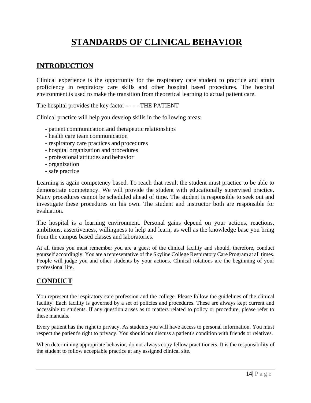# **STANDARDS OF CLINICAL BEHAVIOR**

#### <span id="page-13-0"></span>**INTRODUCTION**

Clinical experience is the opportunity for the respiratory care student to practice and attain proficiency in respiratory care skills and other hospital based procedures. The hospital environment is used to make the transition from theoretical learning to actual patient care.

The hospital provides the key factor - - - - THE PATIENT

Clinical practice will help you develop skills in the following areas:

- patient communication and therapeutic relationships
- health care team communication
- respiratory care practices and procedures
- hospital organization and procedures
- professional attitudes and behavior
- organization
- safe practice

Learning is again competency based. To reach that result the student must practice to be able to demonstrate competency. We will provide the student with educationally supervised practice. Many procedures cannot be scheduled ahead of time. The student is responsible to seek out and investigate these procedures on his own. The student and instructor both are responsible for evaluation.

The hospital is a learning environment. Personal gains depend on your actions, reactions, ambitions, assertiveness, willingness to help and learn, as well as the knowledge base you bring from the campus based classes and laboratories.

At all times you must remember you are a guest of the clinical facility and should, therefore, conduct yourself accordingly. You are a representative of the Skyline College Respiratory Care Program at all times. People will judge you and other students by your actions. Clinical rotations are the beginning of your professional life.

#### **CONDUCT**

You represent the respiratory care profession and the college. Please follow the guidelines of the clinical facility. Each facility is governed by a set of policies and procedures. These are always kept current and accessible to students. If any question arises as to matters related to policy or procedure, please refer to these manuals.

Every patient has the right to privacy. As students you will have access to personal information. You must respect the patient's right to privacy. You should not discuss a patient's condition with friends or relatives.

When determining appropriate behavior, do not always copy fellow practitioners. It is the responsibility of the student to follow acceptable practice at any assigned clinical site.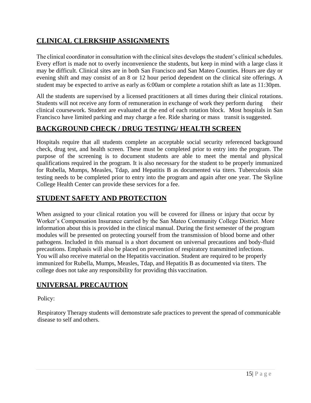## **CLINICAL CLERKSHIP ASSIGNMENTS**

The clinical coordinator in consultation with the clinical sites develops the student's clinical schedules. Every effort is made not to overly inconvenience the students, but keep in mind with a large class it may be difficult. Clinical sites are in both San Francisco and San Mateo Counties. Hours are day or evening shift and may consist of an 8 or 12 hour period dependent on the clinical site offerings. A student may be expected to arrive as early as 6:00am or complete a rotation shift as late as 11:30pm.

All the students are supervised by a licensed practitioners at all times during their clinical rotations. Students will not receive any form of remuneration in exchange of work they perform during clinical coursework. Student are evaluated at the end of each rotation block. Most hospitals in San Francisco have limited parking and may charge a fee. Ride sharing or mass transit is suggested.

#### **BACKGROUND CHECK / DRUG TESTING/ HEALTH SCREEN**

Hospitals require that all students complete an acceptable social security referenced background check, drug test, and health screen. These must be completed prior to entry into the program. The purpose of the screening is to document students are able to meet the mental and physical qualifications required in the program. It is also necessary for the student to be properly immunized for Rubella, Mumps, Measles, Tdap, and Hepatitis B as documented via titers. Tuberculosis skin testing needs to be completed prior to entry into the program and again after one year. The Skyline College Health Center can provide these services for a fee.

## **STUDENT SAFETY AND PROTECTION**

When assigned to your clinical rotation you will be covered for illness or injury that occur by Worker's Compensation Insurance carried by the San Mateo Community College District. More information about this is provided in the clinical manual. During the first semester of the program modules will be presented on protecting yourself from the transmission of blood borne and other pathogens. Included in this manual is a short document on universal precautions and body-fluid precautions. Emphasis will also be placed on prevention of respiratory transmitted infections. You will also receive material on the Hepatitis vaccination. Student are required to be properly immunized for Rubella, Mumps, Measles, Tdap, and Hepatitis B as documented via titers. The college does not take any responsibility for providing this vaccination.

### **UNIVERSAL PRECAUTION**

Policy:

Respiratory Therapy students will demonstrate safe practices to prevent the spread of communicable disease to self and others.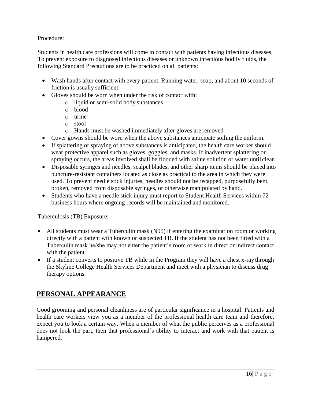#### Procedure:

Students in health care professions will come in contact with patients having infectious diseases. To prevent exposure to diagnosed infectious diseases or unknown infectious bodily fluids, the following Standard Precautions are to be practiced on all patients:

- Wash hands after contact with every patient. Running water, soap, and about 10 seconds of friction is usually sufficient.
- Gloves should be worn when under the risk of contact with:
	- o liquid or semi-solid body substances
	- o blood
	- o urine
	- o stool
	- o Hands must be washed immediately after gloves are removed
- Cover gowns should be worn when the above substances anticipate soiling the uniform.
- If splattering or spraying of above substances is anticipated, the health care worker should wear protective apparel such as gloves, goggles, and masks. If inadvertent splattering or spraying occurs, the areas involved shall be flooded with saline solution or water until clear.
- Disposable syringes and needles, scalpel blades, and other sharp items should be placed into puncture-resistant containers located as close as practical to the area in which they were used. To prevent needle stick injuries, needles should not be recapped, purposefully bent, broken, removed from disposable syringes, or otherwise manipulated by hand.
- Students who have a needle stick injury must report to Student Health Services within 72 business hours where ongoing records will be maintained and monitored.

Tuberculosis (TB) Exposure:

- All students must wear a Tuberculin mask (N95) if entering the examination room or working directly with a patient with known or suspected TB. If the student has not been fitted with a Tuberculin mask he/she may not enter the patient's room or work in direct or indirect contact with the patient.
- If a student converts to positive TB while in the Program they will have a chest x-ray through the Skyline College Health Services Department and meet with a physician to discuss drug therapy options.

### **PERSONAL APPEARANCE**

Good grooming and personal cleanliness are of particular significance in a hospital. Patients and health care workers view you as a member of the professional health care team and therefore, expect you to look a certain way. When a member of what the public perceives as a professional does not look the part, then that professional's ability to interact and work with that patient is hampered.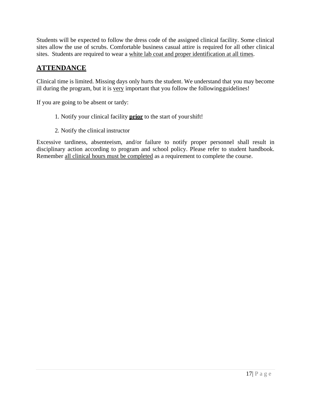Students will be expected to follow the dress code of the assigned clinical facility. Some clinical sites allow the use of scrubs. Comfortable business casual attire is required for all other clinical sites. Students are required to wear a white lab coat and proper identification at all times.

#### **ATTENDANCE**

Clinical time is limited. Missing days only hurts the student. We understand that you may become ill during the program, but it is very important that you follow the followingguidelines!

If you are going to be absent or tardy:

- 1. Notify your clinical facility **prior** to the start of yourshift!
- 2. Notify the clinical instructor

Excessive tardiness, absenteeism, and/or failure to notify proper personnel shall result in disciplinary action according to program and school policy. Please refer to student handbook. Remember all clinical hours must be completed as a requirement to complete the course.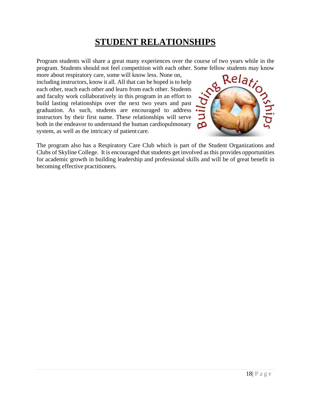# **STUDENT RELATIONSHIPS**

<span id="page-17-0"></span>Program students will share a great many experiences over the course of two years while in the program. Students should not feel competition with each other. Some fellow students may know

more about respiratory care, some will know less. None on, including instructors, know it all. All that can be hoped is to help each other, teach each other and learn from each other. Students and faculty work collaboratively in this program in an effort to build lasting relationships over the next two years and past graduation. As such, students are encouraged to address instructors by their first name. These relationships will serve both in the endeavor to understand the human cardiopulmonary system, as well as the intricacy of patient care.



The program also has a Respiratory Care Club which is part of the Student Organizations and Clubs of Skyline College. It is encouraged that students get involved as this provides opportunities for academic growth in building leadership and professional skills and will be of great benefit in becoming effective practitioners.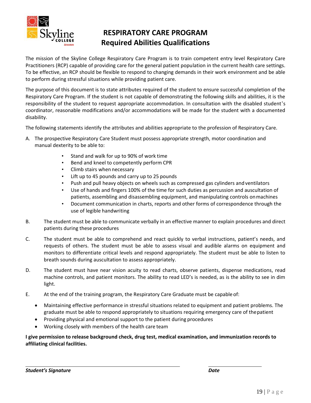

## **RESPIRATORY CARE PROGRAM Required Abilities Qualifications**

The mission of the Skyline College Respiratory Care Program is to train competent entry level Respiratory Care Practitioners (RCP) capable of providing care for the general patient population in the current health care settings. To be effective, an RCP should be flexible to respond to changing demands in their work environment and be able to perform during stressful situations while providing patient care.

The purpose of this document is to state attributes required of the student to ensure successful completion of the Respiratory Care Program. If the student is not capable of demonstrating the following skills and abilities, it is the responsibility of the student to request appropriate accommodation. In consultation with the disabled student's coordinator, reasonable modifications and/or accommodations will be made for the student with a documented disability.

The following statements identify the attributes and abilities appropriate to the profession of Respiratory Care.

- A. The prospective Respiratory Care Student must possess appropriate strength, motor coordination and manual dexterity to be able to:
	- Stand and walk for up to 90% of work time
	- Bend and kneel to competently perform CPR
	- Climb stairs when necessary
	- Lift up to 45 pounds and carry up to 25 pounds
	- Push and pull heavy objects on wheels such as compressed gas cylinders and ventilators
	- Use of hands and fingers 100% of the time for such duties as percussion and auscultation of patients, assembling and disassembling equipment, and manipulating controls onmachines
	- Document communication in charts, reports and other forms of correspondence through the use of legible handwriting
- B. The student must be able to communicate verbally in an effective manner to explain procedures and direct patients during these procedures
- C. The student must be able to comprehend and react quickly to verbal instructions, patient's needs, and requests of others. The student must be able to assess visual and audible alarms on equipment and monitors to differentiate critical levels and respond appropriately. The student must be able to listen to breath sounds during auscultation to assess appropriately.
- D. The student must have near vision acuity to read charts, observe patients, dispense medications, read machine controls, and patient monitors. The ability to read LED's is needed, as is the ability to see in dim light.
- E. At the end of the training program, the Respiratory Care Graduate must be capable of:
	- Maintaining effective performance in stressful situations related to equipment and patient problems. The graduate must be able to respond appropriately to situations requiring emergency care of thepatient
	- Providing physical and emotional support to the patient during procedures
	- Working closely with members of the health care team

**I give permission to release background check, drug test, medical examination, and immunization records to affiliating clinical facilities.**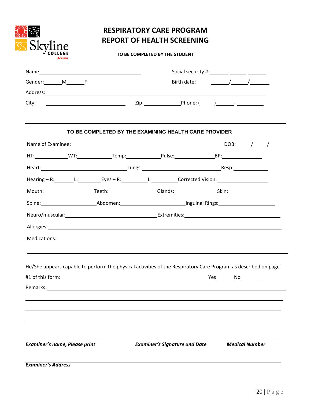| <b>RESPIRATORY CARE PROGRAM</b>   |
|-----------------------------------|
| <b>REPORT OF HEALTH SCREENING</b> |

S Skyline

**ACHIEVE** 

#### **TO BE COMPLETED BY THE STUDENT**

|                                                                                                                                                                                                                                |                                                       | Birth date: $\frac{1}{\sqrt{1-\frac{1}{2}}}\left  \frac{1}{\sqrt{1-\frac{1}{2}}}\right $ |  |
|--------------------------------------------------------------------------------------------------------------------------------------------------------------------------------------------------------------------------------|-------------------------------------------------------|------------------------------------------------------------------------------------------|--|
|                                                                                                                                                                                                                                |                                                       |                                                                                          |  |
| City:                                                                                                                                                                                                                          |                                                       |                                                                                          |  |
|                                                                                                                                                                                                                                |                                                       |                                                                                          |  |
|                                                                                                                                                                                                                                | TO BE COMPLETED BY THE EXAMINING HEALTH CARE PROVIDER |                                                                                          |  |
|                                                                                                                                                                                                                                |                                                       |                                                                                          |  |
|                                                                                                                                                                                                                                |                                                       |                                                                                          |  |
|                                                                                                                                                                                                                                |                                                       |                                                                                          |  |
| Hearing - R: L: L: Eyes - R: L: L: Corrected Vision:                                                                                                                                                                           |                                                       |                                                                                          |  |
| Mouth: Teeth: Teeth: Glands: Skin: Skin: Teeth: Teeth: Clands: Clands: Clands: Teeth: Clands: Teeth: Clands: Clands: Clands: Clands: Clands: Clands: Clands: Clands: Clands: Clands: Clands: Clands: Clands: Clands: Clands: C |                                                       |                                                                                          |  |
| Spine: Abdomen: Abdomen: Inguinal Rings:                                                                                                                                                                                       |                                                       |                                                                                          |  |
|                                                                                                                                                                                                                                |                                                       |                                                                                          |  |
|                                                                                                                                                                                                                                |                                                       |                                                                                          |  |
| Medications: Network of the state of the state of the state of the state of the state of the state of the state of the state of the state of the state of the state of the state of the state of the state of the state of the |                                                       |                                                                                          |  |
| ,我们也不会有什么。""我们的人,我们也不会有什么?""我们的人,我们也不会有什么?""我们的人,我们也不会有什么?""我们的人,我们也不会有什么?""我们的人                                                                                                                                               |                                                       |                                                                                          |  |
|                                                                                                                                                                                                                                |                                                       |                                                                                          |  |
| He/She appears capable to perform the physical activities of the Respiratory Care Program as described on page<br>#1 of this form:                                                                                             |                                                       | Yes No                                                                                   |  |
| Remarks:                                                                                                                                                                                                                       |                                                       |                                                                                          |  |
|                                                                                                                                                                                                                                |                                                       |                                                                                          |  |
|                                                                                                                                                                                                                                |                                                       |                                                                                          |  |
|                                                                                                                                                                                                                                |                                                       |                                                                                          |  |
|                                                                                                                                                                                                                                |                                                       |                                                                                          |  |
|                                                                                                                                                                                                                                |                                                       |                                                                                          |  |
| <b>Examiner's name, Please print</b>                                                                                                                                                                                           | <b>Examiner's Signature and Date</b>                  | <b>Medical Number</b>                                                                    |  |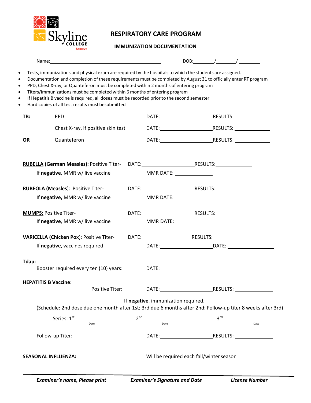

## **RESPIRATORY CARE PROGRAM**

#### **IMMUNIZATION DOCUMENTATION**

|                                       |                                                                                                                                                                                                                                                                                                                                                                                                                                                                                                                                                         |                                                                                                                                                           |                                                                                                                                                                                                                                | DOB: $/$ /                                                                                                                                                                                                                     |      |
|---------------------------------------|---------------------------------------------------------------------------------------------------------------------------------------------------------------------------------------------------------------------------------------------------------------------------------------------------------------------------------------------------------------------------------------------------------------------------------------------------------------------------------------------------------------------------------------------------------|-----------------------------------------------------------------------------------------------------------------------------------------------------------|--------------------------------------------------------------------------------------------------------------------------------------------------------------------------------------------------------------------------------|--------------------------------------------------------------------------------------------------------------------------------------------------------------------------------------------------------------------------------|------|
| ٠<br>٠<br>$\bullet$<br>٠<br>$\bullet$ | Tests, immunizations and physical exam are required by the hospitals to which the students are assigned.<br>Documentation and completion of these requirements must be completed by August 31 to officially enter RT program<br>PPD, Chest X-ray, or Quanteferon must be completed within 2 months of entering program<br>Titers/immunizations must be completed within 6 months of entering program<br>If Hepatitis B vaccine is required, all doses must be recorded prior to the second semester<br>Hard copies of all test results must besubmitted |                                                                                                                                                           |                                                                                                                                                                                                                                |                                                                                                                                                                                                                                |      |
| TB:                                   | <b>PPD</b>                                                                                                                                                                                                                                                                                                                                                                                                                                                                                                                                              |                                                                                                                                                           |                                                                                                                                                                                                                                |                                                                                                                                                                                                                                |      |
|                                       | Chest X-ray, if positive skin test                                                                                                                                                                                                                                                                                                                                                                                                                                                                                                                      |                                                                                                                                                           |                                                                                                                                                                                                                                |                                                                                                                                                                                                                                |      |
| <b>OR</b>                             | Quanteferon                                                                                                                                                                                                                                                                                                                                                                                                                                                                                                                                             |                                                                                                                                                           |                                                                                                                                                                                                                                |                                                                                                                                                                                                                                |      |
|                                       | RUBELLA (German Measles): Positive Titer- DATE: RESULTS: RESULTS:                                                                                                                                                                                                                                                                                                                                                                                                                                                                                       |                                                                                                                                                           |                                                                                                                                                                                                                                |                                                                                                                                                                                                                                |      |
|                                       | If negative, MMR w/ live vaccine                                                                                                                                                                                                                                                                                                                                                                                                                                                                                                                        |                                                                                                                                                           | MMR DATE: NOTE:                                                                                                                                                                                                                |                                                                                                                                                                                                                                |      |
|                                       | <b>RUBEOLA (Measles): Positive Titer-</b>                                                                                                                                                                                                                                                                                                                                                                                                                                                                                                               |                                                                                                                                                           |                                                                                                                                                                                                                                |                                                                                                                                                                                                                                |      |
|                                       | If negative, MMR w/ live vaccine                                                                                                                                                                                                                                                                                                                                                                                                                                                                                                                        |                                                                                                                                                           | MMR DATE: NOTE:                                                                                                                                                                                                                |                                                                                                                                                                                                                                |      |
| <b>MUMPS: Positive Titer-</b>         |                                                                                                                                                                                                                                                                                                                                                                                                                                                                                                                                                         |                                                                                                                                                           |                                                                                                                                                                                                                                |                                                                                                                                                                                                                                |      |
|                                       | If negative, MMR w/ live vaccine                                                                                                                                                                                                                                                                                                                                                                                                                                                                                                                        |                                                                                                                                                           | MMR DATE: _______________                                                                                                                                                                                                      |                                                                                                                                                                                                                                |      |
|                                       |                                                                                                                                                                                                                                                                                                                                                                                                                                                                                                                                                         |                                                                                                                                                           |                                                                                                                                                                                                                                |                                                                                                                                                                                                                                |      |
|                                       | If negative, vaccines required                                                                                                                                                                                                                                                                                                                                                                                                                                                                                                                          |                                                                                                                                                           |                                                                                                                                                                                                                                |                                                                                                                                                                                                                                |      |
| Tdap:                                 | Booster required every ten (10) years:                                                                                                                                                                                                                                                                                                                                                                                                                                                                                                                  |                                                                                                                                                           |                                                                                                                                                                                                                                |                                                                                                                                                                                                                                |      |
| <b>HEPATITIS B Vaccine:</b>           | Positive Titer:                                                                                                                                                                                                                                                                                                                                                                                                                                                                                                                                         |                                                                                                                                                           | DATE: the contract of the contract of the contract of the contract of the contract of the contract of the contract of the contract of the contract of the contract of the contract of the contract of the contract of the cont | RESULTS: And the second second second second second second second second second second second second second second second second second second second second second second second second second second second second second se |      |
|                                       | (Schedule: 2nd dose due one month after 1st; 3rd due 6 months after 2nd; Follow-up titer 8 weeks after 3rd)                                                                                                                                                                                                                                                                                                                                                                                                                                             | If negative, immunization required.                                                                                                                       |                                                                                                                                                                                                                                |                                                                                                                                                                                                                                |      |
|                                       | Date                                                                                                                                                                                                                                                                                                                                                                                                                                                                                                                                                    | $2nd$ and $2nd$ and $2nd$ and $2nd$ and $2nd$ and $2nd$ and $2nd$ and $2nd$ and $2nd$ and $2nd$ and $2nd$ and $2nd$ and $2nd$ and $2nd$ and $2nd$<br>Date |                                                                                                                                                                                                                                |                                                                                                                                                                                                                                | Date |
|                                       | Follow-up Titer:                                                                                                                                                                                                                                                                                                                                                                                                                                                                                                                                        |                                                                                                                                                           |                                                                                                                                                                                                                                |                                                                                                                                                                                                                                |      |
| <b>SEASONAL INFLUENZA:</b>            |                                                                                                                                                                                                                                                                                                                                                                                                                                                                                                                                                         |                                                                                                                                                           | Will be required each fall/winter season                                                                                                                                                                                       |                                                                                                                                                                                                                                |      |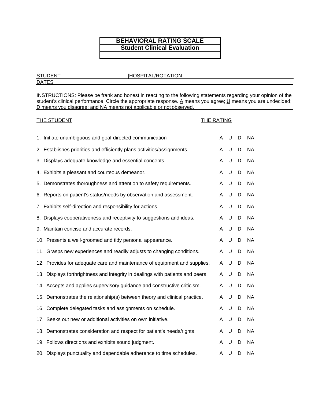#### **BEHAVIORAL RATING SCALE Student Clinical Evaluation**

#### STUDENT |HOSPITAL/ROTATION

**DATES** 

INSTRUCTIONS: Please be frank and honest in reacting to the following statements regarding your opinion of the student's clinical performance. Circle the appropriate response. A means you agree; U means you are undecided; D means you disagree; and NA means not applicable or not observed.

| <b>THE STUDENT</b>                                                             | <b>THE RATING</b> |   |   |           |
|--------------------------------------------------------------------------------|-------------------|---|---|-----------|
| 1. Initiate unambiguous and goal-directed communication                        | A                 | U | D | NA.       |
| 2. Establishes priorities and efficiently plans activities/assignments.        | A                 | U | D | <b>NA</b> |
| 3. Displays adequate knowledge and essential concepts.                         | A                 | U | D | <b>NA</b> |
| 4. Exhibits a pleasant and courteous demeanor.                                 | A                 | U | D | <b>NA</b> |
| 5. Demonstrates thoroughness and attention to safety requirements.             | A                 | U | D | <b>NA</b> |
| 6. Reports on patient's status/needs by observation and assessment.            | A                 | U | D | <b>NA</b> |
| 7. Exhibits self-direction and responsibility for actions.                     | A                 | U | D | <b>NA</b> |
| 8. Displays cooperativeness and receptivity to suggestions and ideas.          | A                 | U | D | <b>NA</b> |
| 9. Maintain concise and accurate records.                                      | A                 | U | D | <b>NA</b> |
| 10. Presents a well-groomed and tidy personal appearance.                      | A                 | U | D | <b>NA</b> |
| 11. Grasps new experiences and readily adjusts to changing conditions.         | A                 | U | D | <b>NA</b> |
| 12. Provides for adequate care and maintenance of equipment and supplies.      | A                 | U | D | <b>NA</b> |
| 13. Displays forthrightness and integrity in dealings with patients and peers. | A                 | U | D | <b>NA</b> |
| 14. Accepts and applies supervisory guidance and constructive criticism.       | A                 | U | D | <b>NA</b> |
| 15. Demonstrates the relationship(s) between theory and clinical practice.     | A                 | U | D | <b>NA</b> |
| 16. Complete delegated tasks and assignments on schedule.                      | A                 | U | D | <b>NA</b> |
| 17. Seeks out new or additional activities on own initiative.                  | A                 | U | D | <b>NA</b> |
| 18. Demonstrates consideration and respect for patient's needs/rights.         | A                 | U | D | <b>NA</b> |
| 19. Follows directions and exhibits sound judgment.                            | A                 | U | D | <b>NA</b> |
| 20. Displays punctuality and dependable adherence to time schedules.           | Α                 | U | D | NA        |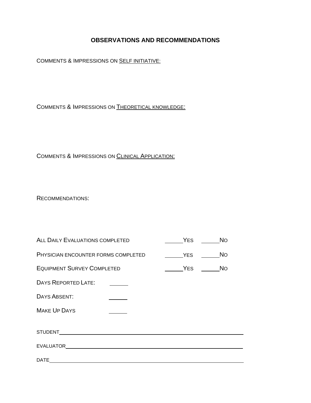#### **OBSERVATIONS AND RECOMMENDATIONS**

COMMENTS & IMPRESSIONS ON SELF INITIATIVE:

COMMENTS & IMPRESSIONS ON THEORETICAL KNOWLEDGE:

COMMENTS & IMPRESSIONS ON CLINICAL APPLICATION:

RECOMMENDATIONS:

| <b>ALL DAILY EVALUATIONS COMPLETED</b> | <b>YES</b> | <b>No</b> |
|----------------------------------------|------------|-----------|
| PHYSICIAN ENCOUNTER FORMS COMPLETED    | <b>YES</b> | <b>No</b> |
| <b>EQUIPMENT SURVEY COMPLETED</b>      | <b>YES</b> | <b>No</b> |
| DAYS REPORTED LATE:                    |            |           |
| DAYS ABSENT:                           |            |           |
| <b>MAKE UP DAYS</b>                    |            |           |
|                                        |            |           |
|                                        |            |           |
| <b>DATE</b>                            |            |           |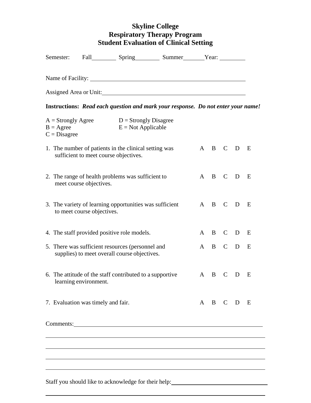## **Skyline College Respiratory Therapy Program Student Evaluation of Clinical Setting**

| Semester: |  |                                                                                                                                                                                       |                                                                                                                                                                                                                                                                                                                                                                                                                                         |   |                                                                        |                       |                                                                                                                                                              |
|-----------|--|---------------------------------------------------------------------------------------------------------------------------------------------------------------------------------------|-----------------------------------------------------------------------------------------------------------------------------------------------------------------------------------------------------------------------------------------------------------------------------------------------------------------------------------------------------------------------------------------------------------------------------------------|---|------------------------------------------------------------------------|-----------------------|--------------------------------------------------------------------------------------------------------------------------------------------------------------|
|           |  |                                                                                                                                                                                       |                                                                                                                                                                                                                                                                                                                                                                                                                                         |   |                                                                        |                       |                                                                                                                                                              |
|           |  |                                                                                                                                                                                       |                                                                                                                                                                                                                                                                                                                                                                                                                                         |   |                                                                        |                       |                                                                                                                                                              |
|           |  |                                                                                                                                                                                       |                                                                                                                                                                                                                                                                                                                                                                                                                                         |   |                                                                        |                       |                                                                                                                                                              |
|           |  |                                                                                                                                                                                       |                                                                                                                                                                                                                                                                                                                                                                                                                                         |   |                                                                        |                       |                                                                                                                                                              |
|           |  |                                                                                                                                                                                       |                                                                                                                                                                                                                                                                                                                                                                                                                                         |   |                                                                        |                       | $\mathbf{E}$                                                                                                                                                 |
|           |  |                                                                                                                                                                                       |                                                                                                                                                                                                                                                                                                                                                                                                                                         |   |                                                                        |                       |                                                                                                                                                              |
|           |  |                                                                                                                                                                                       |                                                                                                                                                                                                                                                                                                                                                                                                                                         |   |                                                                        |                       | E                                                                                                                                                            |
|           |  |                                                                                                                                                                                       |                                                                                                                                                                                                                                                                                                                                                                                                                                         |   |                                                                        |                       | E                                                                                                                                                            |
|           |  |                                                                                                                                                                                       |                                                                                                                                                                                                                                                                                                                                                                                                                                         | B | $\mathsf{C}$                                                           | D                     | E                                                                                                                                                            |
|           |  |                                                                                                                                                                                       |                                                                                                                                                                                                                                                                                                                                                                                                                                         |   |                                                                        |                       | E                                                                                                                                                            |
|           |  |                                                                                                                                                                                       |                                                                                                                                                                                                                                                                                                                                                                                                                                         |   |                                                                        |                       | E                                                                                                                                                            |
|           |  |                                                                                                                                                                                       |                                                                                                                                                                                                                                                                                                                                                                                                                                         |   |                                                                        |                       |                                                                                                                                                              |
|           |  |                                                                                                                                                                                       |                                                                                                                                                                                                                                                                                                                                                                                                                                         |   |                                                                        |                       |                                                                                                                                                              |
|           |  |                                                                                                                                                                                       |                                                                                                                                                                                                                                                                                                                                                                                                                                         |   |                                                                        |                       |                                                                                                                                                              |
|           |  |                                                                                                                                                                                       |                                                                                                                                                                                                                                                                                                                                                                                                                                         |   |                                                                        |                       |                                                                                                                                                              |
|           |  | $A =$ Strongly Agree<br>sufficient to meet course objectives.<br>meet course objectives.<br>to meet course objectives.<br>learning environment.<br>7. Evaluation was timely and fair. | $D =$ Strongly Disagree<br>$E = Not Applicable$<br>1. The number of patients in the clinical setting was<br>2. The range of health problems was sufficient to<br>3. The variety of learning opportunities was sufficient<br>4. The staff provided positive role models.<br>5. There was sufficient resources (personnel and<br>supplies) to meet overall course objectives.<br>6. The attitude of the staff contributed to a supportive |   | Name of Facility:<br>Assigned Area or Unit:<br>$A \quad B$<br>A<br>A B | A B C<br>$\mathbf{C}$ | Instructions: Read each question and mark your response. Do not enter your name!<br>$C$ D<br>A B C D E<br>$\mathbf{D}$<br>A B C D<br>$\mathbf{D}$<br>A B C D |

Staff you should like to acknowledge for their help: **Staff you** should like to acknowledge for their help: